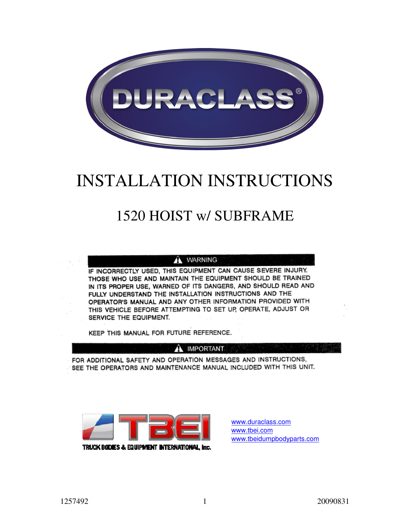

# INSTALLATION INSTRUCTIONS

## 1520 HOIST w/ SUBFRAME

#### A WARNING

IF INCORRECTLY USED, THIS EQUIPMENT CAN CAUSE SEVERE INJURY. THOSE WHO USE AND MAINTAIN THE EQUIPMENT SHOULD BE TRAINED IN ITS PROPER USE, WARNED OF ITS DANGERS, AND SHOULD READ AND FULLY UNDERSTAND THE INSTALLATION INSTRUCTIONS AND THE OPERATOR'S MANUAL AND ANY OTHER INFORMATION PROVIDED WITH THIS VEHICLE BEFORE ATTEMPTING TO SET UP, OPERATE, ADJUST OR SERVICE THE EQUIPMENT.

KEEP THIS MANUAL FOR FUTURE REFERENCE.

#### **A IMPORTANT**

FOR ADDITIONAL SAFETY AND OPERATION MESSAGES AND INSTRUCTIONS, SEE THE OPERATORS AND MAINTENANCE MANUAL INCLUDED WITH THIS UNIT.



www.duraclass.com www.tbei.com www.tbeidumpbodyparts.com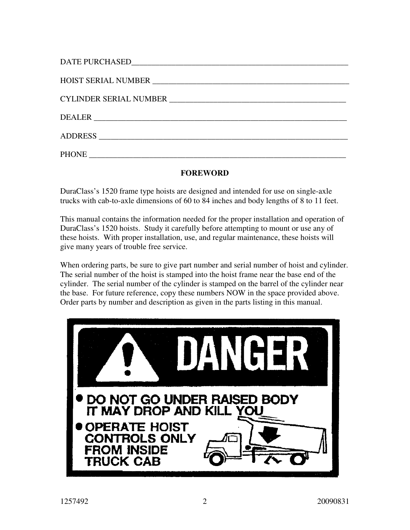| <b>PHONE</b> |
|--------------|

#### **FOREWORD**

DuraClass's 1520 frame type hoists are designed and intended for use on single-axle trucks with cab-to-axle dimensions of 60 to 84 inches and body lengths of 8 to 11 feet.

This manual contains the information needed for the proper installation and operation of DuraClass's 1520 hoists. Study it carefully before attempting to mount or use any of these hoists. With proper installation, use, and regular maintenance, these hoists will give many years of trouble free service.

When ordering parts, be sure to give part number and serial number of hoist and cylinder. The serial number of the hoist is stamped into the hoist frame near the base end of the cylinder. The serial number of the cylinder is stamped on the barrel of the cylinder near the base. For future reference, copy these numbers NOW in the space provided above. Order parts by number and description as given in the parts listing in this manual.

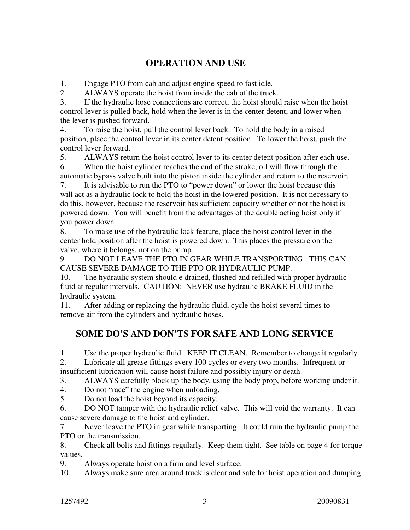#### **OPERATION AND USE**

1. Engage PTO from cab and adjust engine speed to fast idle.

2. ALWAYS operate the hoist from inside the cab of the truck.

3. If the hydraulic hose connections are correct, the hoist should raise when the hoist control lever is pulled back, hold when the lever is in the center detent, and lower when the lever is pushed forward.

4. To raise the hoist, pull the control lever back. To hold the body in a raised position, place the control lever in its center detent position. To lower the hoist, push the control lever forward.

5. ALWAYS return the hoist control lever to its center detent position after each use. 6. When the hoist cylinder reaches the end of the stroke, oil will flow through the automatic bypass valve built into the piston inside the cylinder and return to the reservoir.

7. It is advisable to run the PTO to "power down" or lower the hoist because this will act as a hydraulic lock to hold the hoist in the lowered position. It is not necessary to do this, however, because the reservoir has sufficient capacity whether or not the hoist is powered down. You will benefit from the advantages of the double acting hoist only if you power down.

8. To make use of the hydraulic lock feature, place the hoist control lever in the center hold position after the hoist is powered down. This places the pressure on the valve, where it belongs, not on the pump.

9. DO NOT LEAVE THE PTO IN GEAR WHILE TRANSPORTING. THIS CAN CAUSE SEVERE DAMAGE TO THE PTO OR HYDRAULIC PUMP.

10. The hydraulic system should e drained, flushed and refilled with proper hydraulic fluid at regular intervals. CAUTION: NEVER use hydraulic BRAKE FLUID in the hydraulic system.

11. After adding or replacing the hydraulic fluid, cycle the hoist several times to remove air from the cylinders and hydraulic hoses.

#### **SOME DO'S AND DON'TS FOR SAFE AND LONG SERVICE**

1. Use the proper hydraulic fluid. KEEP IT CLEAN. Remember to change it regularly.

2. Lubricate all grease fittings every 100 cycles or every two months. Infrequent or insufficient lubrication will cause hoist failure and possibly injury or death.

3. ALWAYS carefully block up the body, using the body prop, before working under it.

4. Do not "race" the engine when unloading.

5. Do not load the hoist beyond its capacity.

6. DO NOT tamper with the hydraulic relief valve. This will void the warranty. It can cause severe damage to the hoist and cylinder.

7. Never leave the PTO in gear while transporting. It could ruin the hydraulic pump the PTO or the transmission.

8. Check all bolts and fittings regularly. Keep them tight. See table on page 4 for torque values.

9. Always operate hoist on a firm and level surface.

10. Always make sure area around truck is clear and safe for hoist operation and dumping.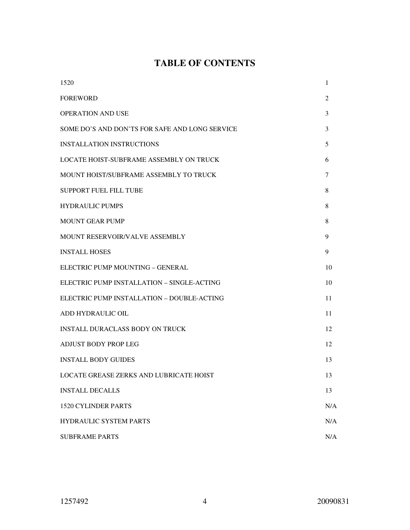## **TABLE OF CONTENTS**

| 1520                                           | 1   |
|------------------------------------------------|-----|
| <b>FOREWORD</b>                                | 2   |
| <b>OPERATION AND USE</b>                       | 3   |
| SOME DO'S AND DON'TS FOR SAFE AND LONG SERVICE | 3   |
| <b>INSTALLATION INSTRUCTIONS</b>               | 5   |
| <b>LOCATE HOIST-SUBFRAME ASSEMBLY ON TRUCK</b> | 6   |
| MOUNT HOIST/SUBFRAME ASSEMBLY TO TRUCK         | 7   |
| <b>SUPPORT FUEL FILL TUBE</b>                  | 8   |
| <b>HYDRAULIC PUMPS</b>                         | 8   |
| <b>MOUNT GEAR PUMP</b>                         | 8   |
| MOUNT RESERVOIR/VALVE ASSEMBLY                 | 9   |
| <b>INSTALL HOSES</b>                           | 9   |
| ELECTRIC PUMP MOUNTING - GENERAL               | 10  |
| ELECTRIC PUMP INSTALLATION - SINGLE-ACTING     | 10  |
| ELECTRIC PUMP INSTALLATION - DOUBLE-ACTING     | 11  |
| ADD HYDRAULIC OIL                              | 11  |
| <b>INSTALL DURACLASS BODY ON TRUCK</b>         | 12  |
| <b>ADJUST BODY PROP LEG</b>                    | 12  |
| <b>INSTALL BODY GUIDES</b>                     | 13  |
| LOCATE GREASE ZERKS AND LUBRICATE HOIST        | 13  |
| <b>INSTALL DECALLS</b>                         | 13  |
| <b>1520 CYLINDER PARTS</b>                     | N/A |
| HYDRAULIC SYSTEM PARTS                         | N/A |
| <b>SUBFRAME PARTS</b>                          | N/A |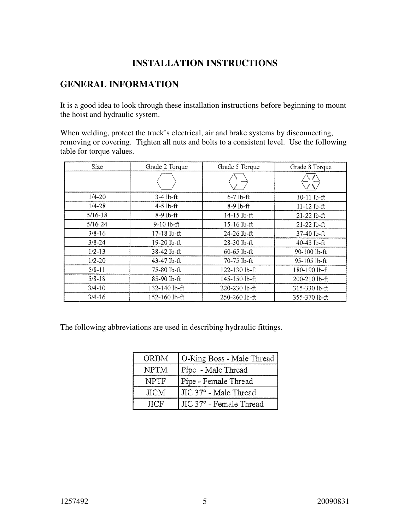#### **INSTALLATION INSTRUCTIONS**

#### **GENERAL INFORMATION**

It is a good idea to look through these installation instructions before beginning to mount the hoist and hydraulic system.

When welding, protect the truck's electrical, air and brake systems by disconnecting, removing or covering. Tighten all nuts and bolts to a consistent level. Use the following table for torque values.

| Size        | Grade 2 Torque | Grade 5 Torque  | Grade 8 Torque  |
|-------------|----------------|-----------------|-----------------|
|             |                |                 |                 |
| $1/4 - 20$  | $3-4$ lb-ft    | $6-7$ lb-ft     | $10-11$ lb-ft   |
| $1/4 - 28$  | $4-5$ lb-ft    | 8-9 lb-ft       | $11 - 12$ lb-ft |
| $5/16 - 18$ | 8-9 lb-ft      | $14-15$ lb-ft   | $21 - 22$ lb-ft |
| $5/16 - 24$ | $9-10$ lb-ft   | 15-16 lb-ft     | $21 - 22$ lb-ft |
| $3/8 - 16$  | 17-18 lb-ft    | 24-26 lb-ft     | $37-40$ lb-ft   |
| $3/8 - 24$  | $19-20$ lb-ft  | $28 - 30$ lb-ft | $40 - 43$ lb-ft |
| $1/2 - 13$  | 38-42 lb-ft    | $60 - 65$ lb-ft | 90-100 lb-ft    |
| $1/2 - 20$  | 43-47 lb-ft    | 70-75 lb-ft     | 95-105 lb-ft    |
| $5/8 - 11$  | 75-80 lb-ft    | 122-130 lb-ft   | 180-190 lb-ft   |
| $5/8 - 18$  | 85-90 lb-ft    | 145-150 lb-ft   | 200-210 lb-ft   |
| $3/4 - 10$  | 132-140 lb-ft  | 220-230 lb-ft   | 315-330 lb-ft   |
| $3/4 - 16$  | 152-160 lb-ft  | 250-260 lb-ft   | 355-370 lb-ft   |

The following abbreviations are used in describing hydraulic fittings.

| <b>ORBM</b> | O-Ring Boss - Male Thread |
|-------------|---------------------------|
| <b>NPTM</b> | Pipe - Male Thread        |
| <b>NPTF</b> | Pipe - Female Thread      |
| <b>JICM</b> | JIC 37° - Male Thread     |
| <b>HCF</b>  | JIC 37° - Female Thread   |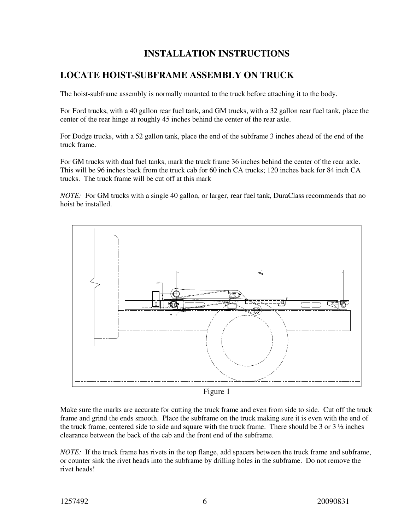#### **INSTALLATION INSTRUCTIONS**

#### **LOCATE HOIST-SUBFRAME ASSEMBLY ON TRUCK**

The hoist-subframe assembly is normally mounted to the truck before attaching it to the body.

For Ford trucks, with a 40 gallon rear fuel tank, and GM trucks, with a 32 gallon rear fuel tank, place the center of the rear hinge at roughly 45 inches behind the center of the rear axle.

For Dodge trucks, with a 52 gallon tank, place the end of the subframe 3 inches ahead of the end of the truck frame.

For GM trucks with dual fuel tanks, mark the truck frame 36 inches behind the center of the rear axle. This will be 96 inches back from the truck cab for 60 inch CA trucks; 120 inches back for 84 inch CA trucks. The truck frame will be cut off at this mark

*NOTE:* For GM trucks with a single 40 gallon, or larger, rear fuel tank, DuraClass recommends that no hoist be installed.



Figure 1

Make sure the marks are accurate for cutting the truck frame and even from side to side. Cut off the truck frame and grind the ends smooth. Place the subframe on the truck making sure it is even with the end of the truck frame, centered side to side and square with the truck frame. There should be 3 or  $3\frac{1}{2}$  inches clearance between the back of the cab and the front end of the subframe.

*NOTE:* If the truck frame has rivets in the top flange, add spacers between the truck frame and subframe, or counter sink the rivet heads into the subframe by drilling holes in the subframe. Do not remove the rivet heads!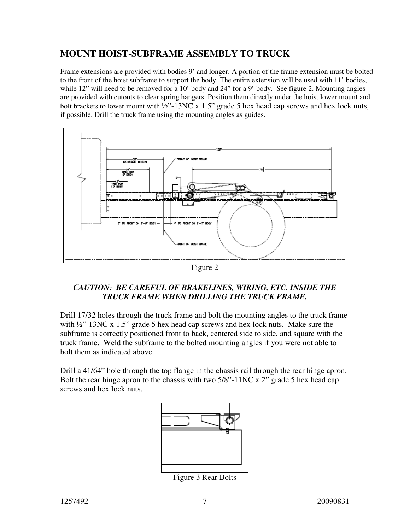#### **MOUNT HOIST-SUBFRAME ASSEMBLY TO TRUCK**

Frame extensions are provided with bodies 9' and longer. A portion of the frame extension must be bolted to the front of the hoist subframe to support the body. The entire extension will be used with 11' bodies, while 12" will need to be removed for a 10' body and 24" for a 9' body. See figure 2. Mounting angles are provided with cutouts to clear spring hangers. Position them directly under the hoist lower mount and bolt brackets to lower mount with <sup>1</sup>/<sub>2</sub>"-13NC x 1.5" grade 5 hex head cap screws and hex lock nuts, if possible. Drill the truck frame using the mounting angles as guides.



Figure 2

#### *CAUTION: BE CAREFUL OF BRAKELINES, WIRING, ETC. INSIDE THE TRUCK FRAME WHEN DRILLING THE TRUCK FRAME.*

Drill 17/32 holes through the truck frame and bolt the mounting angles to the truck frame with  $\frac{1}{2}$  -13NC x 1.5" grade 5 hex head cap screws and hex lock nuts. Make sure the subframe is correctly positioned front to back, centered side to side, and square with the truck frame. Weld the subframe to the bolted mounting angles if you were not able to bolt them as indicated above.

Drill a 41/64" hole through the top flange in the chassis rail through the rear hinge apron. Bolt the rear hinge apron to the chassis with two 5/8"-11NC x 2" grade 5 hex head cap screws and hex lock nuts.



Figure 3 Rear Bolts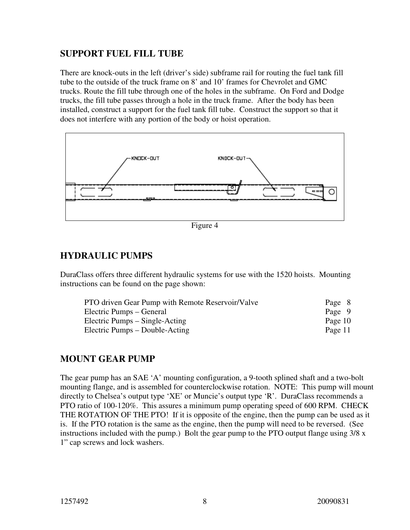#### **SUPPORT FUEL FILL TUBE**

There are knock-outs in the left (driver's side) subframe rail for routing the fuel tank fill tube to the outside of the truck frame on 8' and 10' frames for Chevrolet and GMC trucks. Route the fill tube through one of the holes in the subframe. On Ford and Dodge trucks, the fill tube passes through a hole in the truck frame. After the body has been installed, construct a support for the fuel tank fill tube. Construct the support so that it does not interfere with any portion of the body or hoist operation.



Figure 4

#### **HYDRAULIC PUMPS**

DuraClass offers three different hydraulic systems for use with the 1520 hoists. Mounting instructions can be found on the page shown:

| PTO driven Gear Pump with Remote Reservoir/Valve | Page 8  |
|--------------------------------------------------|---------|
| Electric Pumps – General                         | Page 9  |
| Electric Pumps – Single-Acting                   | Page 10 |
| Electric Pumps – Double-Acting                   | Page 11 |

#### **MOUNT GEAR PUMP**

The gear pump has an SAE 'A' mounting configuration, a 9-tooth splined shaft and a two-bolt mounting flange, and is assembled for counterclockwise rotation. NOTE: This pump will mount directly to Chelsea's output type 'XE' or Muncie's output type 'R'. DuraClass recommends a PTO ratio of 100-120%. This assures a minimum pump operating speed of 600 RPM. CHECK THE ROTATION OF THE PTO! If it is opposite of the engine, then the pump can be used as it is. If the PTO rotation is the same as the engine, then the pump will need to be reversed. (See instructions included with the pump.) Bolt the gear pump to the PTO output flange using 3/8 x 1" cap screws and lock washers.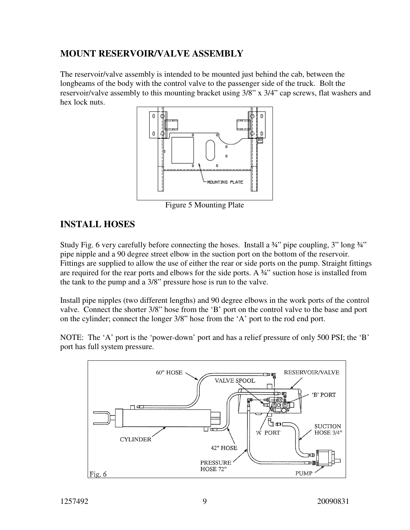#### **MOUNT RESERVOIR/VALVE ASSEMBLY**

The reservoir/valve assembly is intended to be mounted just behind the cab, between the longbeams of the body with the control valve to the passenger side of the truck. Bolt the reservoir/valve assembly to this mounting bracket using 3/8" x 3/4" cap screws, flat washers and hex lock nuts.



Figure 5 Mounting Plate

## **INSTALL HOSES**

Study Fig. 6 very carefully before connecting the hoses. Install a 3<sup>4</sup> pipe coupling, 3" long 3<sup>4"</sup> pipe nipple and a 90 degree street elbow in the suction port on the bottom of the reservoir. Fittings are supplied to allow the use of either the rear or side ports on the pump. Straight fittings are required for the rear ports and elbows for the side ports. A ¾" suction hose is installed from the tank to the pump and a 3/8" pressure hose is run to the valve.

Install pipe nipples (two different lengths) and 90 degree elbows in the work ports of the control valve. Connect the shorter 3/8" hose from the 'B' port on the control valve to the base and port on the cylinder; connect the longer 3/8" hose from the 'A' port to the rod end port.

NOTE: The 'A' port is the 'power-down' port and has a relief pressure of only 500 PSI; the 'B' port has full system pressure.

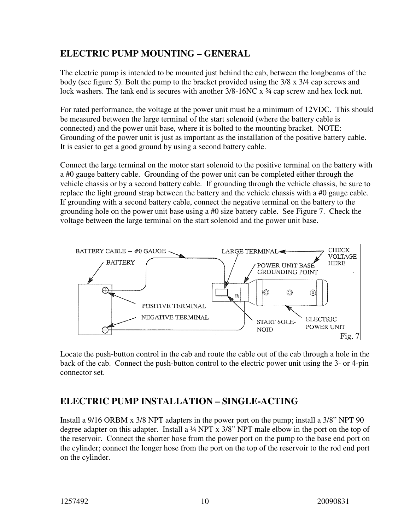#### **ELECTRIC PUMP MOUNTING – GENERAL**

The electric pump is intended to be mounted just behind the cab, between the longbeams of the body (see figure 5). Bolt the pump to the bracket provided using the 3/8 x 3/4 cap screws and lock washers. The tank end is secures with another  $3/8-16NC \times 3/4$  cap screw and hex lock nut.

For rated performance, the voltage at the power unit must be a minimum of 12VDC. This should be measured between the large terminal of the start solenoid (where the battery cable is connected) and the power unit base, where it is bolted to the mounting bracket. NOTE: Grounding of the power unit is just as important as the installation of the positive battery cable. It is easier to get a good ground by using a second battery cable.

Connect the large terminal on the motor start solenoid to the positive terminal on the battery with a #0 gauge battery cable. Grounding of the power unit can be completed either through the vehicle chassis or by a second battery cable. If grounding through the vehicle chassis, be sure to replace the light ground strap between the battery and the vehicle chassis with a #0 gauge cable. If grounding with a second battery cable, connect the negative terminal on the battery to the grounding hole on the power unit base using a #0 size battery cable. See Figure 7. Check the voltage between the large terminal on the start solenoid and the power unit base.



Locate the push-button control in the cab and route the cable out of the cab through a hole in the back of the cab. Connect the push-button control to the electric power unit using the 3- or 4-pin connector set.

## **ELECTRIC PUMP INSTALLATION – SINGLE-ACTING**

Install a 9/16 ORBM x 3/8 NPT adapters in the power port on the pump; install a 3/8" NPT 90 degree adapter on this adapter. Install a ¼ NPT x 3/8" NPT male elbow in the port on the top of the reservoir. Connect the shorter hose from the power port on the pump to the base end port on the cylinder; connect the longer hose from the port on the top of the reservoir to the rod end port on the cylinder.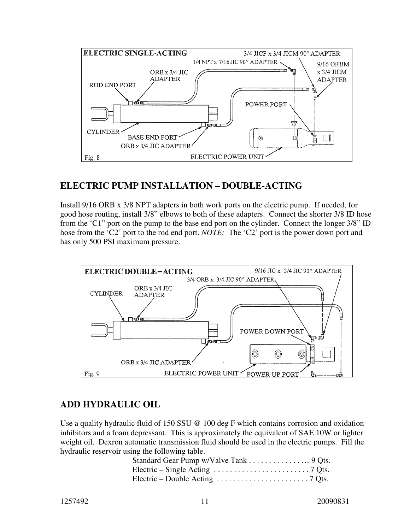

#### **ELECTRIC PUMP INSTALLATION – DOUBLE-ACTING**

Install 9/16 ORB x 3/8 NPT adapters in both work ports on the electric pump. If needed, for good hose routing, install 3/8" elbows to both of these adapters. Connect the shorter 3/8 ID hose from the 'C1" port on the pump to the base end port on the cylinder. Connect the longer 3/8" ID hose from the 'C2' port to the rod end port. *NOTE*: The 'C2' port is the power down port and has only 500 PSI maximum pressure.



## **ADD HYDRAULIC OIL**

Use a quality hydraulic fluid of 150 SSU @ 100 deg F which contains corrosion and oxidation inhibitors and a foam depressant. This is approximately the equivalent of SAE 10W or lighter weight oil. Dexron automatic transmission fluid should be used in the electric pumps. Fill the hydraulic reservoir using the following table.

| Standard Gear Pump w/Valve Tank 9 Qts.                                                    |  |
|-------------------------------------------------------------------------------------------|--|
| Electric – Single Acting $\ldots \ldots \ldots \ldots \ldots \ldots \ldots \ldots$ 7 Qts. |  |
| Electric – Double Acting $\dots \dots \dots \dots \dots \dots \dots$ 7 Qts.               |  |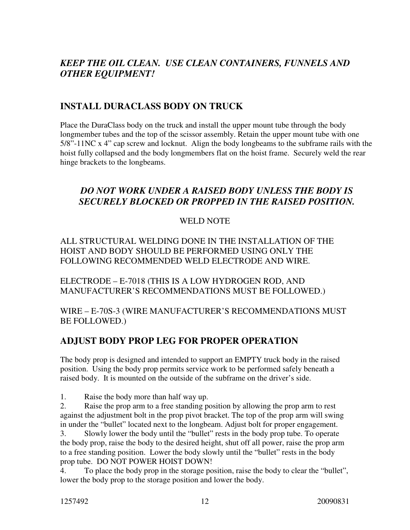## *KEEP THE OIL CLEAN. USE CLEAN CONTAINERS, FUNNELS AND OTHER EQUIPMENT!*

#### **INSTALL DURACLASS BODY ON TRUCK**

Place the DuraClass body on the truck and install the upper mount tube through the body longmember tubes and the top of the scissor assembly. Retain the upper mount tube with one 5/8"-11NC x 4" cap screw and locknut. Align the body longbeams to the subframe rails with the hoist fully collapsed and the body longmembers flat on the hoist frame. Securely weld the rear hinge brackets to the longbeams.

#### *DO NOT WORK UNDER A RAISED BODY UNLESS THE BODY IS SECURELY BLOCKED OR PROPPED IN THE RAISED POSITION.*

#### WELD NOTE

ALL STRUCTURAL WELDING DONE IN THE INSTALLATION OF THE HOIST AND BODY SHOULD BE PERFORMED USING ONLY THE FOLLOWING RECOMMENDED WELD ELECTRODE AND WIRE.

ELECTRODE – E-7018 (THIS IS A LOW HYDROGEN ROD, AND MANUFACTURER'S RECOMMENDATIONS MUST BE FOLLOWED.)

WIRE – E-70S-3 (WIRE MANUFACTURER'S RECOMMENDATIONS MUST BE FOLLOWED.)

#### **ADJUST BODY PROP LEG FOR PROPER OPERATION**

The body prop is designed and intended to support an EMPTY truck body in the raised position. Using the body prop permits service work to be performed safely beneath a raised body. It is mounted on the outside of the subframe on the driver's side.

1. Raise the body more than half way up.

2. Raise the prop arm to a free standing position by allowing the prop arm to rest against the adjustment bolt in the prop pivot bracket. The top of the prop arm will swing in under the "bullet" located next to the longbeam. Adjust bolt for proper engagement.

3. Slowly lower the body until the "bullet" rests in the body prop tube. To operate the body prop, raise the body to the desired height, shut off all power, raise the prop arm to a free standing position. Lower the body slowly until the "bullet" rests in the body prop tube. DO NOT POWER HOIST DOWN!

4. To place the body prop in the storage position, raise the body to clear the "bullet", lower the body prop to the storage position and lower the body.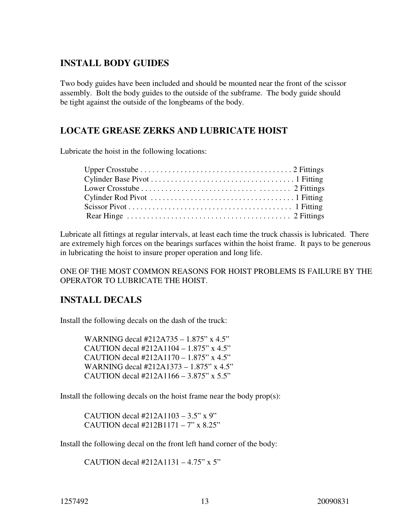#### **INSTALL BODY GUIDES**

Two body guides have been included and should be mounted near the front of the scissor assembly. Bolt the body guides to the outside of the subframe. The body guide should be tight against the outside of the longbeams of the body.

#### **LOCATE GREASE ZERKS AND LUBRICATE HOIST**

Lubricate the hoist in the following locations:

| Rear Hinge $\dots \dots \dots \dots \dots \dots \dots \dots \dots \dots \dots \dots \dots$ 2 Fittings |  |
|-------------------------------------------------------------------------------------------------------|--|

Lubricate all fittings at regular intervals, at least each time the truck chassis is lubricated. There are extremely high forces on the bearings surfaces within the hoist frame. It pays to be generous in lubricating the hoist to insure proper operation and long life.

ONE OF THE MOST COMMON REASONS FOR HOIST PROBLEMS IS FAILURE BY THE OPERATOR TO LUBRICATE THE HOIST.

#### **INSTALL DECALS**

Install the following decals on the dash of the truck:

WARNING decal #212A735 – 1.875" x 4.5" CAUTION decal #212A1104 – 1.875" x 4.5" CAUTION decal #212A1170 – 1.875" x 4.5" WARNING decal #212A1373 – 1.875" x 4.5" CAUTION decal #212A1166 – 3.875" x 5.5"

Install the following decals on the hoist frame near the body prop(s):

CAUTION decal #212A1103 – 3.5" x 9" CAUTION decal #212B1171 – 7" x 8.25"

Install the following decal on the front left hand corner of the body:

CAUTION decal #212A1131 – 4.75" x 5"